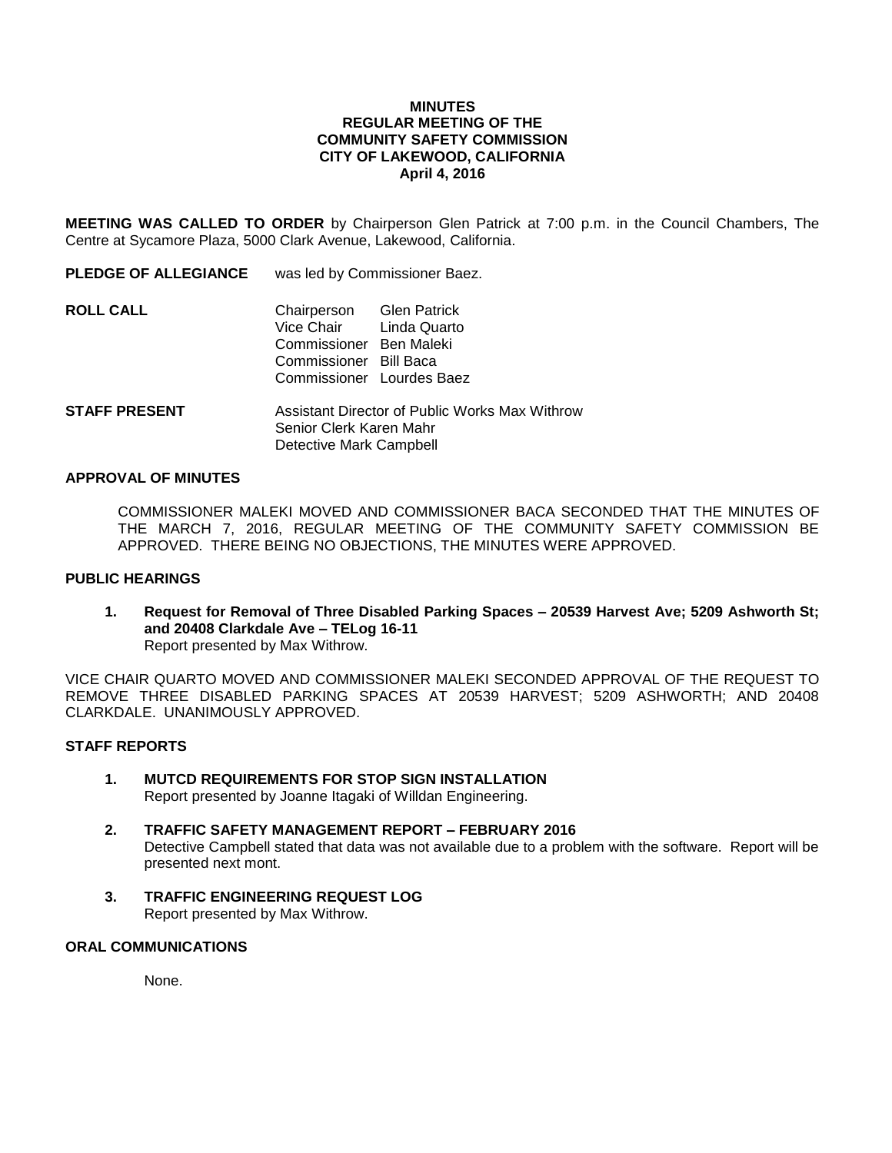### **MINUTES REGULAR MEETING OF THE COMMUNITY SAFETY COMMISSION CITY OF LAKEWOOD, CALIFORNIA April 4, 2016**

**MEETING WAS CALLED TO ORDER** by Chairperson Glen Patrick at 7:00 p.m. in the Council Chambers, The Centre at Sycamore Plaza, 5000 Clark Avenue, Lakewood, California.

**PLEDGE OF ALLEGIANCE** was led by Commissioner Baez.

| <b>ROLL CALL</b> | Chairperson Glen Patrick<br>Vice Chair Linda Quarto |  |
|------------------|-----------------------------------------------------|--|
|                  | Commissioner Ben Maleki                             |  |
|                  | Commissioner Bill Baca                              |  |
|                  | Commissioner Lourdes Baez                           |  |
|                  |                                                     |  |

**STAFF PRESENT** Assistant Director of Public Works Max Withrow Senior Clerk Karen Mahr Detective Mark Campbell

### **APPROVAL OF MINUTES**

COMMISSIONER MALEKI MOVED AND COMMISSIONER BACA SECONDED THAT THE MINUTES OF THE MARCH 7, 2016, REGULAR MEETING OF THE COMMUNITY SAFETY COMMISSION BE APPROVED. THERE BEING NO OBJECTIONS, THE MINUTES WERE APPROVED.

## **PUBLIC HEARINGS**

**1. Request for Removal of Three Disabled Parking Spaces – 20539 Harvest Ave; 5209 Ashworth St; and 20408 Clarkdale Ave – TELog 16-11** Report presented by Max Withrow.

VICE CHAIR QUARTO MOVED AND COMMISSIONER MALEKI SECONDED APPROVAL OF THE REQUEST TO REMOVE THREE DISABLED PARKING SPACES AT 20539 HARVEST; 5209 ASHWORTH; AND 20408 CLARKDALE. UNANIMOUSLY APPROVED.

# **STAFF REPORTS**

- **1. MUTCD REQUIREMENTS FOR STOP SIGN INSTALLATION** Report presented by Joanne Itagaki of Willdan Engineering.
- **2. TRAFFIC SAFETY MANAGEMENT REPORT – FEBRUARY 2016** Detective Campbell stated that data was not available due to a problem with the software. Report will be presented next mont.
- **3. TRAFFIC ENGINEERING REQUEST LOG** Report presented by Max Withrow.

### **ORAL COMMUNICATIONS**

None.